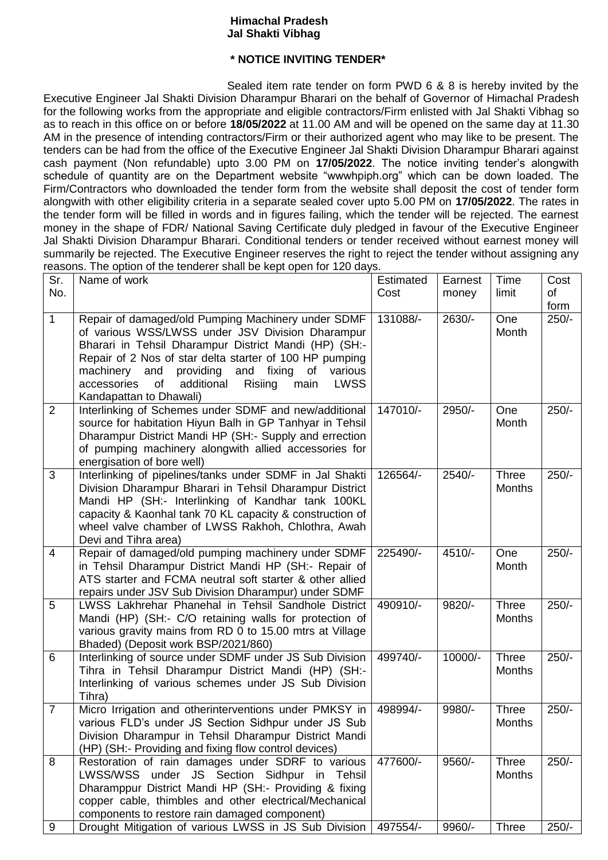## **Himachal Pradesh Jal Shakti Vibhag**

## **\* NOTICE INVITING TENDER\***

Sealed item rate tender on form PWD 6 & 8 is hereby invited by the Executive Engineer Jal Shakti Division Dharampur Bharari on the behalf of Governor of Himachal Pradesh for the following works from the appropriate and eligible contractors/Firm enlisted with Jal Shakti Vibhag so as to reach in this office on or before **18/05/2022** at 11.00 AM and will be opened on the same day at 11.30 AM in the presence of intending contractors/Firm or their authorized agent who may like to be present. The tenders can be had from the office of the Executive Engineer Jal Shakti Division Dharampur Bharari against cash payment (Non refundable) upto 3.00 PM on **17/05/2022**. The notice inviting tender's alongwith schedule of quantity are on the Department website "wwwhpiph.org" which can be down loaded. The Firm/Contractors who downloaded the tender form from the website shall deposit the cost of tender form alongwith with other eligibility criteria in a separate sealed cover upto 5.00 PM on **17/05/2022**. The rates in the tender form will be filled in words and in figures failing, which the tender will be rejected. The earnest money in the shape of FDR/ National Saving Certificate duly pledged in favour of the Executive Engineer Jal Shakti Division Dharampur Bharari. Conditional tenders or tender received without earnest money will summarily be rejected. The Executive Engineer reserves the right to reject the tender without assigning any reasons. The option of the tenderer shall be kept open for 120 days.

| Sr.<br>No.     | $\frac{1}{2}$<br>Name of work                                                                                                                                                                                                                                                                                                                                                              | Estimated<br>Cost | Earnest<br>money | Time<br>limit                 | Cost<br>of      |
|----------------|--------------------------------------------------------------------------------------------------------------------------------------------------------------------------------------------------------------------------------------------------------------------------------------------------------------------------------------------------------------------------------------------|-------------------|------------------|-------------------------------|-----------------|
| $\mathbf{1}$   | Repair of damaged/old Pumping Machinery under SDMF<br>of various WSS/LWSS under JSV Division Dharampur<br>Bharari in Tehsil Dharampur District Mandi (HP) (SH:-<br>Repair of 2 Nos of star delta starter of 100 HP pumping<br>providing<br>and<br>machinery and<br>fixing<br>of<br>various<br>accessories<br>of<br>additional<br>Risiing<br><b>LWSS</b><br>main<br>Kandapattan to Dhawali) | 131088/-          | 2630/-           | One<br>Month                  | form<br>$250/-$ |
| 2              | Interlinking of Schemes under SDMF and new/additional<br>source for habitation Hiyun Balh in GP Tanhyar in Tehsil<br>Dharampur District Mandi HP (SH:- Supply and errection<br>of pumping machinery alongwith allied accessories for<br>energisation of bore well)                                                                                                                         | 147010/-          | 2950/-           | One<br>Month                  | $250/-$         |
| $\overline{3}$ | Interlinking of pipelines/tanks under SDMF in Jal Shakti<br>Division Dharampur Bharari in Tehsil Dharampur District<br>Mandi HP (SH:- Interlinking of Kandhar tank 100KL<br>capacity & Kaonhal tank 70 KL capacity & construction of<br>wheel valve chamber of LWSS Rakhoh, Chlothra, Awah<br>Devi and Tihra area)                                                                         | 126564/-          | $2540/-$         | Three<br><b>Months</b>        | $250/-$         |
| 4              | Repair of damaged/old pumping machinery under SDMF<br>in Tehsil Dharampur District Mandi HP (SH:- Repair of<br>ATS starter and FCMA neutral soft starter & other allied<br>repairs under JSV Sub Division Dharampur) under SDMF                                                                                                                                                            | 225490/-          | 4510/-           | One<br>Month                  | $250/-$         |
| 5              | LWSS Lakhrehar Phanehal in Tehsil Sandhole District<br>Mandi (HP) (SH:- C/O retaining walls for protection of<br>various gravity mains from RD 0 to 15.00 mtrs at Village<br>Bhaded) (Deposit work BSP/2021/860)                                                                                                                                                                           | 490910/-          | 9820/-           | <b>Three</b><br><b>Months</b> | $250/-$         |
| 6              | Interlinking of source under SDMF under JS Sub Division<br>Tihra in Tehsil Dharampur District Mandi (HP) (SH:-<br>Interlinking of various schemes under JS Sub Division<br>Tihra)                                                                                                                                                                                                          | 499740/-          | 10000/-          | <b>Three</b><br><b>Months</b> | $250/-$         |
| $\overline{7}$ | Micro Irrigation and otherinterventions under PMKSY in<br>various FLD's under JS Section Sidhpur under JS Sub<br>Division Dharampur in Tehsil Dharampur District Mandi<br>(HP) (SH:- Providing and fixing flow control devices)                                                                                                                                                            | 498994/-          | 9980/-           | <b>Three</b><br><b>Months</b> | $250/-$         |
| 8              | Restoration of rain damages under SDRF to various<br>LWSS/WSS under JS Section Sidhpur in Tehsil<br>Dharamppur District Mandi HP (SH:- Providing & fixing<br>copper cable, thimbles and other electrical/Mechanical<br>components to restore rain damaged component)                                                                                                                       | 477600/-          | 9560/-           | Three<br><b>Months</b>        | $250/-$         |
| $9\,$          | Drought Mitigation of various LWSS in JS Sub Division                                                                                                                                                                                                                                                                                                                                      | 497554/-          | 9960/-           | <b>Three</b>                  | $250/-$         |